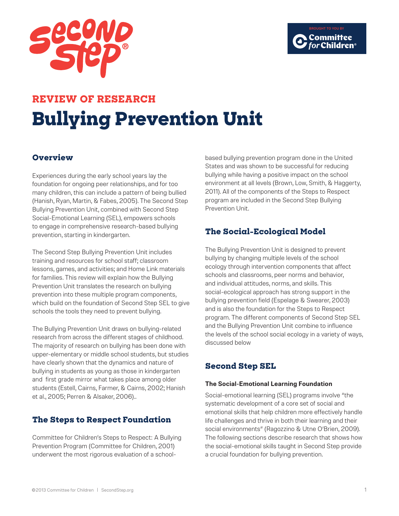

# **REVIEW OF RESEARCH Bullying Prevention Unit**

®

## **Overview**

Experiences during the early school years lay the foundation for ongoing peer relationships, and for too many children, this can include a pattern of being bullied (Hanish, Ryan, Martin, & Fabes, 2005). The Second Step Bullying Prevention Unit, combined with Second Step Social-Emotional Learning (SEL), empowers schools to engage in comprehensive research-based bullying prevention, starting in kindergarten.

The Second Step Bullying Prevention Unit includes training and resources for school staff; classroom lessons, games, and activities; and Home Link materials for families. This review will explain how the Bullying Prevention Unit translates the research on bullying prevention into these multiple program components, which build on the foundation of Second Step SEL to give schools the tools they need to prevent bullying.

The Bullying Prevention Unit draws on bullying-related research from across the different stages of childhood. The majority of research on bullying has been done with upper-elementary or middle school students, but studies have clearly shown that the dynamics and nature of bullying in students as young as those in kindergarten and first grade mirror what takes place among older students (Estell, Cairns, Farmer, & Cairns, 2002; Hanish et al., 2005; Perren & Alsaker, 2006)..

## **The Steps to Respect Foundation**

Committee for Children's Steps to Respect: A Bullying Prevention Program (Committee for Children, 2001) underwent the most rigorous evaluation of a schoolbased bullying prevention program done in the United States and was shown to be successful for reducing bullying while having a positive impact on the school environment at all levels (Brown, Low, Smith, & Haggerty, 2011). All of the components of the Steps to Respect program are included in the Second Step Bullying Prevention Unit.

# **The Social-Ecological Model**

The Bullying Prevention Unit is designed to prevent bullying by changing multiple levels of the school ecology through intervention components that affect schools and classrooms, peer norms and behavior, and individual attitudes, norms, and skills. This social-ecological approach has strong support in the bullying prevention field (Espelage & Swearer, 2003) and is also the foundation for the Steps to Respect program. The different components of Second Step SEL and the Bullying Prevention Unit combine to influence the levels of the school social ecology in a variety of ways, discussed below

# **Second Step SEL**

## **The Social-Emotional Learning Foundation**

Social-emotional learning (SEL) programs involve "the systematic development of a core set of social and emotional skills that help children more effectively handle life challenges and thrive in both their learning and their social environments" (Ragozzino & Utne O'Brien, 2009). The following sections describe research that shows how the social-emotional skills taught in Second Step provide a crucial foundation for bullying prevention.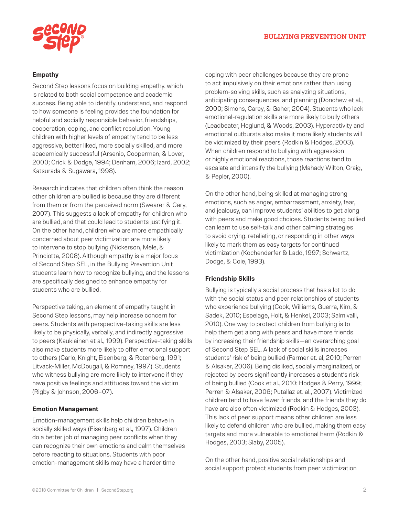



#### **Empathy**

Second Step lessons focus on building empathy, which is related to both social competence and academic success. Being able to identify, understand, and respond to how someone is feeling provides the foundation for helpful and socially responsible behavior, friendships, cooperation, coping, and conflict resolution. Young children with higher levels of empathy tend to be less aggressive, better liked, more socially skilled, and more academically successful (Arsenio, Cooperman, & Lover, 2000; Crick & Dodge, 1994; Denham, 2006; Izard, 2002; Katsurada & Sugawara, 1998).

Research indicates that children often think the reason other children are bullied is because they are different from them or from the perceived norm (Swearer & Cary, 2007). This suggests a lack of empathy for children who are bullied, and that could lead to students justifying it. On the other hand, children who are more empathically concerned about peer victimization are more likely to intervene to stop bullying (Nickerson, Mele, & Princiotta, 2008). Although empathy is a major focus of Second Step SEL, in the Bullying Prevention Unit students learn how to recognize bullying, and the lessons are specifically designed to enhance empathy for students who are bullied.

Perspective taking, an element of empathy taught in Second Step lessons, may help increase concern for peers. Students with perspective-taking skills are less likely to be physically, verbally, and indirectly aggressive to peers (Kaukiainen et al., 1999). Perspective-taking skills also make students more likely to offer emotional support to others (Carlo, Knight, Eisenberg, & Rotenberg, 1991; Litvack-Miller, McDougall, & Romney, 1997). Students who witness bullying are more likely to intervene if they have positive feelings and attitudes toward the victim (Rigby & Johnson, 2006–07).

#### **Emotion Management**

Emotion-management skills help children behave in socially skilled ways (Eisenberg et al., 1997). Children do a better job of managing peer conflicts when they can recognize their own emotions and calm themselves before reacting to situations. Students with poor emotion-management skills may have a harder time

coping with peer challenges because they are prone to act impulsively on their emotions rather than using problem-solving skills, such as analyzing situations, anticipating consequences, and planning (Donohew et al., 2000; Simons, Carey, & Gaher, 2004). Students who lack emotional-regulation skills are more likely to bully others (Leadbeater, Hoglund, & Woods, 2003). Hyperactivity and emotional outbursts also make it more likely students will be victimized by their peers (Rodkin & Hodges, 2003). When children respond to bullying with aggression or highly emotional reactions, those reactions tend to escalate and intensify the bullying (Mahady Wilton, Craig, & Pepler, 2000).

On the other hand, being skilled at managing strong emotions, such as anger, embarrassment, anxiety, fear, and jealousy, can improve students' abilities to get along with peers and make good choices. Students being bullied can learn to use self-talk and other calming strategies to avoid crying, retaliating, or responding in other ways likely to mark them as easy targets for continued victimization (Kochenderfer & Ladd, 1997; Schwartz, Dodge, & Coie, 1993).

#### **Friendship Skills**

Bullying is typically a social process that has a lot to do with the social status and peer relationships of students who experience bullying (Cook, Williams, Guerra, Kim, & Sadek, 2010; Espelage, Holt, & Henkel, 2003; Salmivalli, 2010). One way to protect children from bullying is to help them get along with peers and have more friends by increasing their friendship skills—an overarching goal of Second Step SEL. A lack of social skills increases students' risk of being bullied (Farmer et. al, 2010; Perren & Alsaker, 2006). Being disliked, socially marginalized, or rejected by peers significantly increases a student's risk of being bullied (Cook et al., 2010; Hodges & Perry, 1999; Perren & Alsaker, 2006; Putallaz et. al., 2007). Victimized children tend to have fewer friends, and the friends they do have are also often victimized (Rodkin & Hodges, 2003). This lack of peer support means other children are less likely to defend children who are bullied, making them easy targets and more vulnerable to emotional harm (Rodkin & Hodges, 2003; Slaby, 2005).

On the other hand, positive social relationships and social support protect students from peer victimization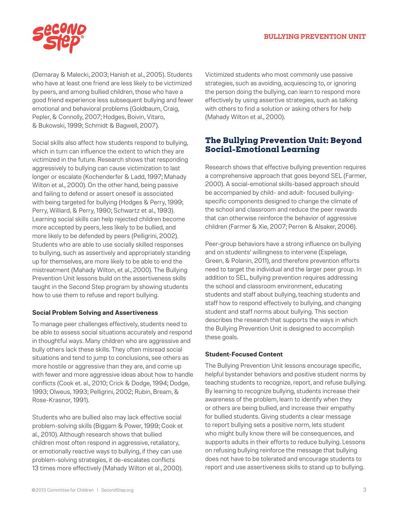

(Demaray & Malecki, 2003; Hanish et al., 2005). Students who have at least one friend are less likely to be victimized by peers, and among bullied children, those who have a good friend experience less subsequent bullying and fewer emotional and behavioral problems (Goldbaum, Craig, Pepler, & Connolly, 2007; Hodges, Boivin, Vitaro, & Bukowski, 1999; Schmidt & Bagwell, 2007).

Social skills also affect how students respond to bullying, which in turn can influence the extent to which they are victimized in the future. Research shows that responding aggressively to bullying can cause victimization to last longer or escalate (Kochenderfer & Ladd, 1997; Mahady Wilton et al., 2000). On the other hand, being passive and failing to defend or assert oneself is associated with being targeted for bullying (Hodges & Perry, 1999; Perry, Williard, & Perry, 1990; Schwartz et al., 1993). Learning social skills can help rejected children become more accepted by peers, less likely to be bullied, and more likely to be defended by peers (Pelligrini, 2002). Students who are able to use socially skilled responses to bullying, such as assertively and appropriately standing up for themselves, are more likely to be able to end the mistreatment (Mahady Wilton, et al., 2000). The Bullying Prevention Unit lessons build on the assertiveness skills taught in the Second Step program by showing students how to use them to refuse and report bullying.

#### **Social Problem Solving and Assertiveness**

To manage peer challenges effectively, students need to be able to assess social situations accurately and respond in thoughtful ways. Many children who are aggressive and bully others lack these skills. They often misread social situations and tend to jump to conclusions, see others as more hostile or aggressive than they are, and come up with fewer and more aggressive ideas about how to handle conflicts (Cook et. al., 2010; Crick & Dodge, 1994; Dodge, 1993; Olweus, 1993; Pelligrini, 2002; Rubin, Bream, & Rose-Krasnor, 1991).

Students who are bullied also may lack effective social problem-solving skills (Biggam & Power, 1999; Cook et al., 2010). Although research shows that bullied children most often respond in aggressive, retaliatory, or emotionally reactive ways to bullying, if they can use problem-solving strategies, it de-escalates conflicts 13 times more effectively (Mahady Wilton et al., 2000). Victimized students who most commonly use passive strategies, such as avoiding, acquiescing to, or ignoring the person doing the bullying, can learn to respond more effectively by using assertive strategies, such as talking with others to find a solution or asking others for help (Mahady Wilton et al., 2000).

## **The Bullying Prevention Unit: Beyond Social-Emotional Learning**

Research shows that effective bullying prevention requires a comprehensive approach that goes beyond SEL (Farmer, 2000). A social-emotional skills-based approach should be accompanied by child- and adult- focused bullyingspecific components designed to change the climate of the school and classroom and reduce the peer rewards that can otherwise reinforce the behavior of aggressive children (Farmer & Xie, 2007; Perren & Alsaker, 2006).

Peer-group behaviors have a strong influence on bullying and on students' willingness to intervene (Espelage, Green, & Polanin, 2011), and therefore prevention efforts need to target the individual and the larger peer group. In addition to SEL, bullying prevention requires addressing the school and classroom environment, educating students and staff about bullying, teaching students and staff how to respond effectively to bullying, and changing student and staff norms about bullying. This section describes the research that supports the ways in which the Bullying Prevention Unit is designed to accomplish these goals.

## **Student-Focused Content**

The Bullying Prevention Unit lessons encourage specific, helpful bystander behaviors and positive student norms by teaching students to recognize, report, and refuse bullying. By learning to recognize bullying, students increase their awareness of the problem, learn to identify when they or others are being bullied, and increase their empathy for bullied students. Giving students a clear message to report bullying sets a positive norm, lets student who might bully know there will be consequences, and supports adults in their efforts to reduce bullying. Lessons on refusing bullying reinforce the message that bullying does not have to be tolerated and encourage students to report and use assertiveness skills to stand up to bullying.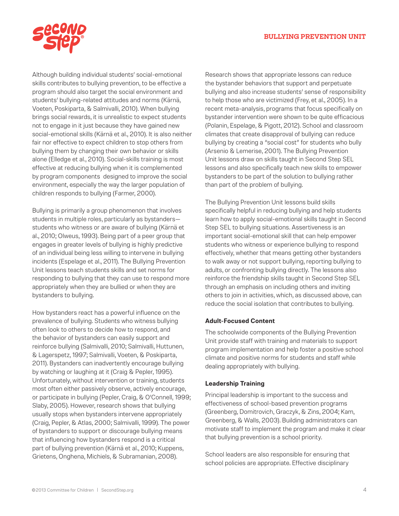#### ® **BULLYING PREVENTION UNIT**



Although building individual students' social-emotional skills contributes to bullying prevention, to be effective a program should also target the social environment and students' bullying-related attitudes and norms (Kärnä, Voeten, Poskiparta, & Salmivalli, 2010). When bullying brings social rewards, it is unrealistic to expect students not to engage in it just because they have gained new social-emotional skills (Kärnä et al., 2010). It is also neither fair nor effective to expect children to stop others from bullying them by changing their own behavior or skills alone (Elledge et al., 2010). Social-skills training is most effective at reducing bullying when it is complemented by program components designed to improve the social environment, especially the way the larger population of children responds to bullying (Farmer, 2000).

Bullying is primarily a group phenomenon that involves students in multiple roles, particularly as bystanders students who witness or are aware of bullying (Kärnä et al., 2010; Olweus, 1993). Being part of a peer group that engages in greater levels of bullying is highly predictive of an individual being less willing to intervene in bullying incidents (Espelage et al., 2011). The Bullying Prevention Unit lessons teach students skills and set norms for responding to bullying that they can use to respond more appropriately when they are bullied or when they are bystanders to bullying.

How bystanders react has a powerful influence on the prevalence of bullying. Students who witness bullying often look to others to decide how to respond, and the behavior of bystanders can easily support and reinforce bullying (Salmivalli, 2010; Salmivalli, Huttunen, & Lagerspetz, 1997; Salmivalli, Voeten, & Poskiparta, 2011). Bystanders can inadvertently encourage bullying by watching or laughing at it (Craig & Pepler, 1995). Unfortunately, without intervention or training, students most often either passively observe, actively encourage, or participate in bullying (Pepler, Craig, & O'Connell, 1999; Slaby, 2005). However, research shows that bullying usually stops when bystanders intervene appropriately (Craig, Pepler, & Atlas, 2000; Salmivalli, 1999). The power of bystanders to support or discourage bullying means that influencing how bystanders respond is a critical part of bullying prevention (Kärnä et al., 2010; Kuppens, Grietens, Onghena, Michiels, & Subramanian, 2008).

Research shows that appropriate lessons can reduce the bystander behaviors that support and perpetuate bullying and also increase students' sense of responsibility to help those who are victimized (Frey, et al., 2005). In a recent meta-analysis, programs that focus specifically on bystander intervention were shown to be quite efficacious (Polanin, Espelage, & Pigott, 2012). School and classroom climates that create disapproval of bullying can reduce bullying by creating a "social cost" for students who bully (Arsenio & Lemerise, 2001). The Bullying Prevention Unit lessons draw on skills taught in Second Step SEL lessons and also specifically teach new skills to empower bystanders to be part of the solution to bullying rather than part of the problem of bullying.

The Bullying Prevention Unit lessons build skills specifically helpful in reducing bullying and help students learn how to apply social-emotional skills taught in Second Step SEL to bullying situations. Assertiveness is an important social-emotional skill that can help empower students who witness or experience bullying to respond effectively, whether that means getting other bystanders to walk away or not support bullying, reporting bullying to adults, or confronting bullying directly. The lessons also reinforce the friendship skills taught in Second Step SEL through an emphasis on including others and inviting others to join in activities, which, as discussed above, can reduce the social isolation that contributes to bullying.

#### **Adult-Focused Content**

The schoolwide components of the Bullying Prevention Unit provide staff with training and materials to support program implementation and help foster a positive school climate and positive norms for students and staff while dealing appropriately with bullying.

#### **Leadership Training**

Principal leadership is important to the success and effectiveness of school-based prevention programs (Greenberg, Domitrovich, Graczyk, & Zins, 2004; Kam, Greenberg, & Walls, 2003). Building administrators can motivate staff to implement the program and make it clear that bullying prevention is a school priority.

School leaders are also responsible for ensuring that school policies are appropriate. Effective disciplinary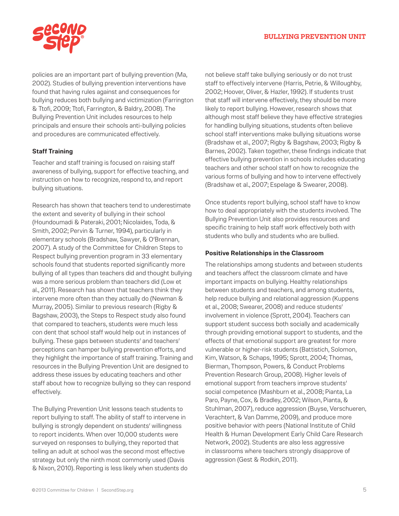

policies are an important part of bullying prevention (Ma, 2002). Studies of bullying prevention interventions have found that having rules against and consequences for bullying reduces both bullying and victimization (Farrington & Ttofi, 2009; Ttofi, Farrington, & Baldry, 2008). The Bullying Prevention Unit includes resources to help principals and ensure their schools anti-bullying policies and procedures are communicated effectively.

## **Staff Training**

Teacher and staff training is focused on raising staff awareness of bullying, support for effective teaching, and instruction on how to recognize, respond to, and report bullying situations.

Research has shown that teachers tend to underestimate the extent and severity of bullying in their school (Houndoumadi & Pateraki, 2001; Nicolaides, Toda, & Smith, 2002; Pervin & Turner, 1994), particularly in elementary schools (Bradshaw, Sawyer, & O'Brennan, 2007). A study of the Committee for Children Steps to Respect bullying prevention program in 33 elementary schools found that students reported significantly more bullying of all types than teachers did and thought bullying was a more serious problem than teachers did (Low et al., 2011). Research has shown that teachers think they intervene more often than they actually do (Newman & Murray, 2005). Similar to previous research (Rigby & Bagshaw, 2003), the Steps to Respect study also found that compared to teachers, students were much less con dent that school staff would help out in instances of bullying. These gaps between students' and teachers' perceptions can hamper bullying prevention efforts, and they highlight the importance of staff training. Training and resources in the Bullying Prevention Unit are designed to address these issues by educating teachers and other staff about how to recognize bullying so they can respond effectively.

The Bullying Prevention Unit lessons teach students to report bullying to staff. The ability of staff to intervene in bullying is strongly dependent on students' willingness to report incidents. When over 10,000 students were surveyed on responses to bullying, they reported that telling an adult at school was the second most effective strategy but only the ninth most commonly used (Davis & Nixon, 2010). Reporting is less likely when students do not believe staff take bullying seriously or do not trust staff to effectively intervene (Harris, Petrie, & Willoughby, 2002; Hoover, Oliver, & Hazler, 1992). If students trust that staff will intervene effectively, they should be more likely to report bullying. However, research shows that although most staff believe they have effective strategies for handling bullying situations, students often believe school staff interventions make bullying situations worse (Bradshaw et al., 2007; Rigby & Bagshaw, 2003; Rigby & Barnes, 2002). Taken together, these findings indicate that effective bullying prevention in schools includes educating teachers and other school staff on how to recognize the various forms of bullying and how to intervene effectively (Bradshaw et al., 2007; Espelage & Swearer, 2008).

Once students report bullying, school staff have to know how to deal appropriately with the students involved. The Bullying Prevention Unit also provides resources and specific training to help staff work effectively both with students who bully and students who are bullied.

### **Positive Relationships in the Classroom**

The relationships among students and between students and teachers affect the classroom climate and have important impacts on bullying. Healthy relationships between students and teachers, and among students, help reduce bullying and relational aggression (Kuppens et al., 2008; Swearer, 2008) and reduce students' involvement in violence (Sprott, 2004). Teachers can support student success both socially and academically through providing emotional support to students, and the effects of that emotional support are greatest for more vulnerable or higher-risk students (Battistich, Solomon, Kim, Watson, & Schaps, 1995; Sprott, 2004; Thomas, Bierman, Thompson, Powers, & Conduct Problems Prevention Research Group, 2008). Higher levels of emotional support from teachers improve students' social competence (Mashburn et al., 2008; Pianta, La Paro, Payne, Cox, & Bradley, 2002; Wilson, Pianta, & Stuhlman, 2007), reduce aggression (Buyse, Verschueren, Verachtert, & Van Damme, 2009), and produce more positive behavior with peers (National Institute of Child Health & Human Development Early Child Care Research Network, 2002). Students are also less aggressive in classrooms where teachers strongly disapprove of aggression (Gest & Rodkin, 2011).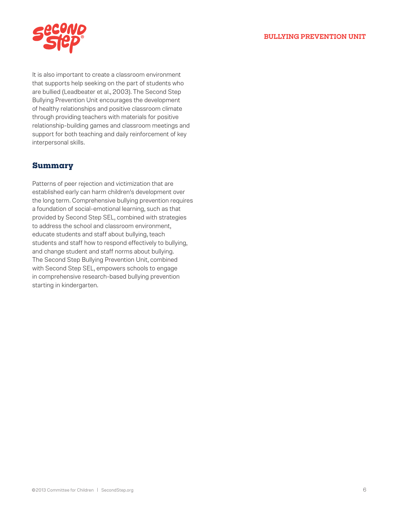

It is also important to create a classroom environment that supports help seeking on the part of students who are bullied (Leadbeater et al., 2003). The Second Step Bullying Prevention Unit encourages the development of healthy relationships and positive classroom climate through providing teachers with materials for positive relationship-building games and classroom meetings and support for both teaching and daily reinforcement of key interpersonal skills.

## **Summary**

Patterns of peer rejection and victimization that are established early can harm children's development over the long term. Comprehensive bullying prevention requires a foundation of social-emotional learning, such as that provided by Second Step SEL, combined with strategies to address the school and classroom environment, educate students and staff about bullying, teach students and staff how to respond effectively to bullying, and change student and staff norms about bullying. The Second Step Bullying Prevention Unit, combined with Second Step SEL, empowers schools to engage in comprehensive research-based bullying prevention starting in kindergarten.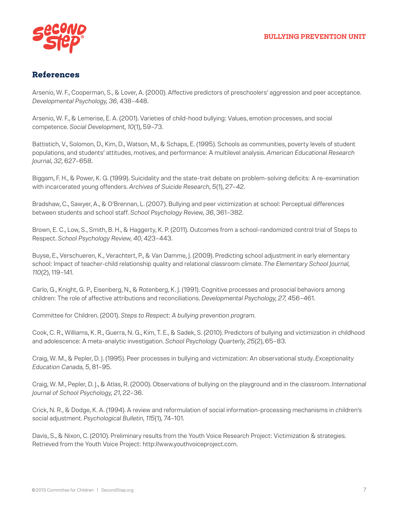

## **References**

Arsenio, W. F., Cooperman, S., & Lover, A. (2000). Affective predictors of preschoolers' aggression and peer acceptance. *Developmental Psychology, 36*, 438–448.

Arsenio, W. F., & Lemerise, E. A. (2001). Varieties of child-hood bullying: Values, emotion processes, and social competence. *Social Development, 10*(1), 59–73.

Battistich, V., Solomon, D., Kim, D., Watson, M., & Schaps, E. (1995). Schools as communities, poverty levels of student populations, and students' attitudes, motives, and performance: A multilevel analysis. *American Educational Research Journal, 32,* 627–658.

Biggam, F. H., & Power, K. G. (1999). Suicidality and the state-trait debate on problem-solving deficits: A re-examination with incarcerated young offenders. *Archives of Suicide Research, 5*(1), 27–42.

Bradshaw, C., Sawyer, A., & O'Brennan, L. (2007). Bullying and peer victimization at school: Perceptual differences between students and school staff. *School Psychology Review, 36*, 361–382.

Brown, E. C., Low, S., Smith, B. H., & Haggerty, K. P. (2011). Outcomes from a school-randomized control trial of Steps to Respect. *School Psychology Review, 40*, 423–443.

Buyse, E., Verschueren, K., Verachtert, P., & Van Damme, J. (2009). Predicting school adjustment in early elementary school: Impact of teacher-child relationship quality and relational classroom climate. *The Elementary School Journal, 110*(2), 119–141.

Carlo, G., Knight, G. P., Eisenberg, N., & Rotenberg, K. J. (1991). Cognitive processes and prosocial behaviors among children: The role of affective attributions and reconciliations. *Developmental Psychology, 27,* 456–461.

Committee for Children. (2001). *Steps to Respect: A bullying prevention program.*

Cook, C. R., Williams, K. R., Guerra, N. G., Kim, T. E., & Sadek, S. (2010). Predictors of bullying and victimization in childhood and adolescence: A meta-analytic investigation. *School Psychology Quarterly, 25*(2), 65–83.

Craig, W. M., & Pepler, D. J. (1995). Peer processes in bullying and victimization: An observational study. *Exceptionality Education Canada, 5*, 81–95.

Craig, W. M., Pepler, D. J., & Atlas, R. (2000). Observations of bullying on the playground and in the classroom. *International Journal of School Psychology, 21*, 22–36.

Crick, N. R., & Dodge, K. A. (1994). A review and reformulation of social information-processing mechanisms in children's social adjustment. *Psychological Bulletin, 115*(1), 74–101.

Davis, S., & Nixon, C. (2010). Preliminary results from the Youth Voice Research Project: Victimization & strategies. Retrieved from the Youth Voice Project: http://www.youthvoiceproject.com.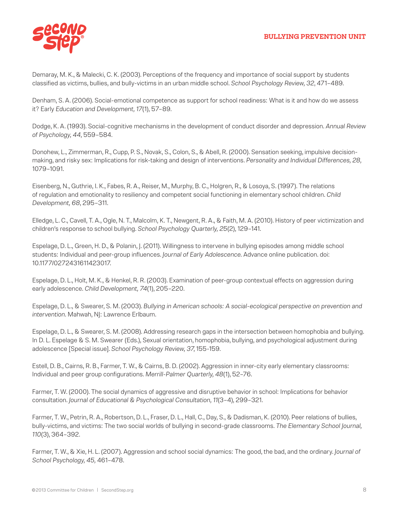

Demaray, M. K., & Malecki, C. K. (2003). Perceptions of the frequency and importance of social support by students classified as victims, bullies, and bully-victims in an urban middle school. *School Psychology Review, 32*, 471–489.

Denham, S. A. (2006). Social-emotional competence as support for school readiness: What is it and how do we assess it? Early *Education and Development, 17*(1), 57–89.

Dodge, K. A. (1993). Social-cognitive mechanisms in the development of conduct disorder and depression. *Annual Review of Psychology, 44*, 559–584.

Donohew, L., Zimmerman, R., Cupp, P. S., Novak, S., Colon, S., & Abell, R. (2000). Sensation seeking, impulsive decisionmaking, and risky sex: Implications for risk-taking and design of interventions. *Personality and Individual Differences, 28,* 1079–1091.

Eisenberg, N., Guthrie, I. K., Fabes, R. A., Reiser, M., Murphy, B. C., Holgren, R., & Losoya, S. (1997). The relations of regulation and emotionality to resiliency and competent social functioning in elementary school children. *Child Development, 68*, 295–311.

Elledge, L. C., Cavell, T. A., Ogle, N. T., Malcolm, K. T., Newgent, R. A., & Faith, M. A. (2010). History of peer victimization and children's response to school bullying. *School Psychology Quarterly, 25*(2), 129–141.

Espelage, D. L., Green, H. D., & Polanin, J. (2011). Willingness to intervene in bullying episodes among middle school students: Individual and peer-group influences. *Journal of Early Adolescence.* Advance online publication. doi: 10.1177/0272431611423017.

Espelage, D. L., Holt, M. K., & Henkel, R. R. (2003). Examination of peer-group contextual effects on aggression during early adolescence. *Child Development, 74*(1), 205–220.

Espelage, D. L., & Swearer, S. M. (2003). *Bullying in American schools: A social-ecological perspective on prevention and intervention.* Mahwah, NJ: Lawrence Erlbaum.

Espelage, D. L., & Swearer, S. M. (2008). Addressing research gaps in the intersection between homophobia and bullying. In D. L. Espelage & S. M. Swearer (Eds.), Sexual orientation, homophobia, bullying, and psychological adjustment during adolescence [Special issue]. *School Psychology Review, 37*, 155-159.

Estell, D. B., Cairns, R. B., Farmer, T. W., & Cairns, B. D. (2002). Aggression in inner-city early elementary classrooms: Individual and peer group configurations. *Merrill-Palmer Quarterly, 48*(1), 52–76.

Farmer, T. W. (2000). The social dynamics of aggressive and disruptive behavior in school: Implications for behavior consultation. *Journal of Educational & Psychological Consultation, 11*(3–4), 299–321.

Farmer, T. W., Petrin, R. A., Robertson, D. L., Fraser, D. L., Hall, C., Day, S., & Dadisman, K. (2010). Peer relations of bullies, bully-victims, and victims: The two social worlds of bullying in second-grade classrooms. *The Elementary School Journal, 110*(3), 364–392.

Farmer, T. W., & Xie, H. L. (2007). Aggression and school social dynamics: The good, the bad, and the ordinary. *Journal of School Psychology, 45,* 461–478.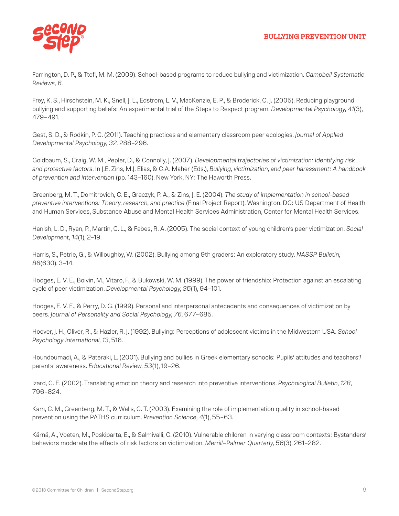

Farrington, D. P., & Ttofi, M. M. (2009). School-based programs to reduce bullying and victimization. *Campbell Systematic Reviews, 6.*

Frey, K. S., Hirschstein, M. K., Snell, J. L., Edstrom, L. V., MacKenzie, E. P., & Broderick, C. J. (2005). Reducing playground bullying and supporting beliefs: An experimental trial of the Steps to Respect program. *Developmental Psychology, 41*(3), 479–491.

Gest, S. D., & Rodkin, P. C. (2011). Teaching practices and elementary classroom peer ecologies. *Journal of Applied Developmental Psychology, 32,* 288–296.

Goldbaum, S., Craig, W. M., Pepler, D., & Connolly, J. (2007). *Developmental trajectories of victimization: Identifying risk and protective factors.* In J.E. Zins, M.J. Elias, & C.A. Maher (Eds.), *Bullying, victimization, and peer harassment: A handbook of prevention and intervention* (pp. 143–160). New York, NY: The Haworth Press.

Greenberg, M. T., Domitrovich, C. E., Graczyk, P. A., & Zins, J. E. (2004). *The study of implementation in school-based preventive interventions: Theory, research, and practice* (Final Project Report). Washington, DC: US Department of Health and Human Services, Substance Abuse and Mental Health Services Administration, Center for Mental Health Services.

Hanish, L. D., Ryan, P., Martin, C. L., & Fabes, R. A. (2005). The social context of young children's peer victimization. *Social Development, 14*(1), 2–19.

Harris, S., Petrie, G., & Willoughby, W. (2002). Bullying among 9th graders: An exploratory study. *NASSP Bulletin, 86*(630), 3–14.

Hodges, E. V. E., Boivin, M., Vitaro, F., & Bukowski, W. M. (1999). The power of friendship: Protection against an escalating cycle of peer victimization. *Developmental Psychology, 35*(1), 94–101.

Hodges, E. V. E., & Perry, D. G. (1999). Personal and interpersonal antecedents and consequences of victimization by peers. *Journal of Personality and Social Psychology, 76*, 677–685.

Hoover, J. H., Oliver, R., & Hazler, R. J. (1992). Bullying: Perceptions of adolescent victims in the Midwestern USA. *School Psychology International, 13*, 516.

Houndoumadi, A., & Pateraki, L. (2001). Bullying and bullies in Greek elementary schools: Pupils' attitudes and teachers'/ parents' awareness. *Educational Review, 53*(1), 19–26.

Izard, C. E. (2002). Translating emotion theory and research into preventive interventions. *Psychological Bulletin, 128*, 796–824.

Kam, C. M., Greenberg, M. T., & Walls, C. T. (2003). Examining the role of implementation quality in school-based prevention using the PATHS curriculum. *Prevention Science, 4*(1), 55–63.

Kärnä, A., Voeten, M., Poskiparta, E., & Salmivalli, C. (2010). Vulnerable children in varying classroom contexts: Bystanders' behaviors moderate the effects of risk factors on victimization. *Merrill–Palmer Quarterly, 56*(3), 261–282.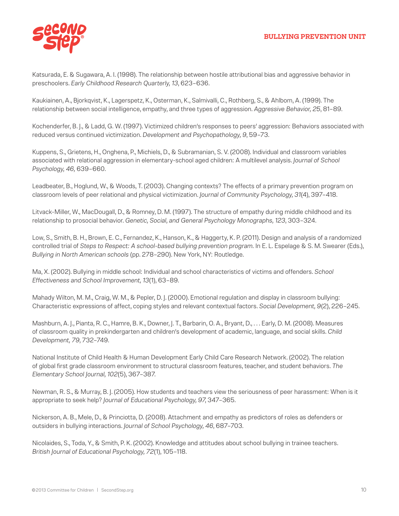

Katsurada, E. & Sugawara, A. I. (1998). The relationship between hostile attributional bias and aggressive behavior in preschoolers. *Early Childhood Research Quarterly, 13*, 623–636.

Kaukiainen, A., Bjorkqvist, K., Lagerspetz, K., Osterman, K., Salmivalli, C., Rothberg, S., & Ahlbom, A. (1999). The relationship between social intelligence, empathy, and three types of aggression. *Aggressive Behavior, 25*, 81–89.

Kochenderfer, B. J., & Ladd, G. W. (1997). Victimized children's responses to peers' aggression: Behaviors associated with reduced versus continued victimization. *Development and Psychopathology, 9*, 59–73.

Kuppens, S., Grietens, H., Onghena, P., Michiels, D., & Subramanian, S. V. (2008). Individual and classroom variables associated with relational aggression in elementary-school aged children: A multilevel analysis. *Journal of School Psychology, 46,* 639–660.

Leadbeater, B., Hoglund, W., & Woods, T. (2003). Changing contexts? The effects of a primary prevention program on classroom levels of peer relational and physical victimization. *Journal of Community Psychology, 31*(4), 397–418.

Litvack-Miller, W., MacDougall, D., & Romney, D. M. (1997). The structure of empathy during middle childhood and its relationship to prosocial behavior. *Genetic, Social, and General Psychology Monographs, 123*, 303–324.

Low, S., Smith, B. H., Brown, E. C., Fernandez, K., Hanson, K., & Haggerty, K. P. (2011). Design and analysis of a randomized controlled trial of *Steps to Respect: A school-based bullying prevention program.* In E. L. Espelage & S. M. Swearer (Eds.), *Bullying in North American schools* (pp. 278–290). New York, NY: Routledge.

Ma, X. (2002). Bullying in middle school: Individual and school characteristics of victims and offenders. *School Effectiveness and School Improvement, 13*(1), 63–89.

Mahady Wilton, M. M., Craig, W. M., & Pepler, D. J. (2000). Emotional regulation and display in classroom bullying: Characteristic expressions of affect, coping styles and relevant contextual factors. *Social Development, 9*(2), 226–245.

Mashburn, A. J., Pianta, R. C., Hamre, B. K., Downer, J. T., Barbarin, O. A., Bryant, D., . . . Early, D. M. (2008). Measures of classroom quality in prekindergarten and children's development of academic, language, and social skills. *Child Development, 79*, 732–749.

National Institute of Child Health & Human Development Early Child Care Research Network. (2002). The relation of global first grade classroom environment to structural classroom features, teacher, and student behaviors. *The Elementary School Journal, 102*(5), 367–387.

Newman, R. S., & Murray, B. J. (2005). How students and teachers view the seriousness of peer harassment: When is it appropriate to seek help? *Journal of Educational Psychology, 97*, 347–365.

Nickerson, A. B., Mele, D., & Princiotta, D. (2008). Attachment and empathy as predictors of roles as defenders or outsiders in bullying interactions. *Journal of School Psychology, 46*, 687–703.

Nicolaides, S., Toda, Y., & Smith, P. K. (2002). Knowledge and attitudes about school bullying in trainee teachers. *British Journal of Educational Psychology, 72*(1), 105–118.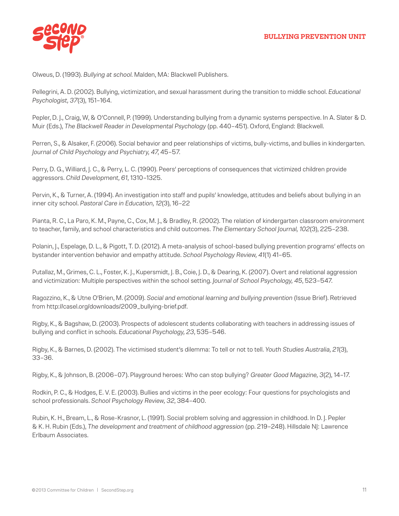

Olweus, D. (1993). *Bullying at school*. Malden, MA: Blackwell Publishers.

Pellegrini, A. D. (2002). Bullying, victimization, and sexual harassment during the transition to middle school. *Educational Psychologist, 37*(3), 151–164.

Pepler, D. J., Craig, W, & O'Connell, P. (1999). Understanding bullying from a dynamic systems perspective. In A. Slater & D. Muir (Eds.), *The Blackwell Reader in Developmental Psychology* (pp. 440–451). Oxford, England: Blackwell.

Perren, S., & Alsaker, F. (2006). Social behavior and peer relationships of victims, bully-victims, and bullies in kindergarten. *Journal of Child Psychology and Psychiatry, 47*, 45–57.

Perry, D. G., Williard, J. C., & Perry, L. C. (1990). Peers' perceptions of consequences that victimized children provide aggressors. *Child Development, 61*, 1310–1325.

Pervin, K., & Turner, A. (1994). An investigation into staff and pupils' knowledge, attitudes and beliefs about bullying in an inner city school. *Pastoral Care in Education, 12*(3), 16–22

Pianta, R. C., La Paro, K. M., Payne, C., Cox, M. J., & Bradley, R. (2002). The relation of kindergarten classroom environment to teacher, family, and school characteristics and child outcomes. *The Elementary School Journal, 102*(3), 225–238.

Polanin, J., Espelage, D. L., & Pigott, T. D. (2012). A meta-analysis of school-based bullying prevention programs' effects on bystander intervention behavior and empathy attitude. *School Psychology Review, 41*(1) 41–65.

Putallaz, M., Grimes, C. L., Foster, K. J., Kupersmidt, J. B., Coie, J. D., & Dearing, K. (2007). Overt and relational aggression and victimization: Multiple perspectives within the school setting. *Journal of School Psychology, 45*, 523–547.

Ragozzino, K., & Utne O'Brien, M. (2009). *Social and emotional learning and bullying prevention* (Issue Brief). Retrieved from http://casel.org/downloads/2009\_bullying-brief.pdf.

Rigby, K., & Bagshaw, D. (2003). Prospects of adolescent students collaborating with teachers in addressing issues of bullying and conflict in schools. *Educational Psychology, 23*, 535–546.

Rigby, K., & Barnes, D. (2002). The victimised student's dilemma: To tell or not to tell. *Youth Studies Australia, 21*(3), 33–36.

Rigby, K., & Johnson, B. (2006–07). Playground heroes: Who can stop bullying? *Greater Good Magazine, 3*(2), 14–17.

Rodkin, P. C., & Hodges, E. V. E. (2003). Bullies and victims in the peer ecology: Four questions for psychologists and school professionals. *School Psychology Review, 32*, 384–400.

Rubin, K. H., Bream, L., & Rose-Krasnor, L. (1991). Social problem solving and aggression in childhood. In D. J. Pepler & K. H. Rubin (Eds.), *The development and treatment of childhood aggression* (pp. 219–248). Hillsdale NJ: Lawrence Erlbaum Associates.